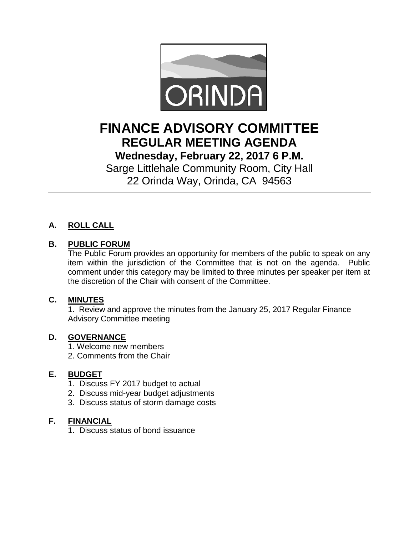

# **FINANCE ADVISORY COMMITTEE REGULAR MEETING AGENDA Wednesday, February 22, 2017 6 P.M.**

Sarge Littlehale Community Room, City Hall 22 Orinda Way, Orinda, CA 94563

# **A. ROLL CALL**

## **B. PUBLIC FORUM**

The Public Forum provides an opportunity for members of the public to speak on any item within the jurisdiction of the Committee that is not on the agenda. Public comment under this category may be limited to three minutes per speaker per item at the discretion of the Chair with consent of the Committee.

#### **C. MINUTES**

1. Review and approve the minutes from the January 25, 2017 Regular Finance Advisory Committee meeting

#### **D. GOVERNANCE**

- 1. Welcome new members
- 2. Comments from the Chair

#### **E. BUDGET**

- 1. Discuss FY 2017 budget to actual
- 2. Discuss mid-year budget adjustments
- 3. Discuss status of storm damage costs

#### **F. FINANCIAL**

1. Discuss status of bond issuance